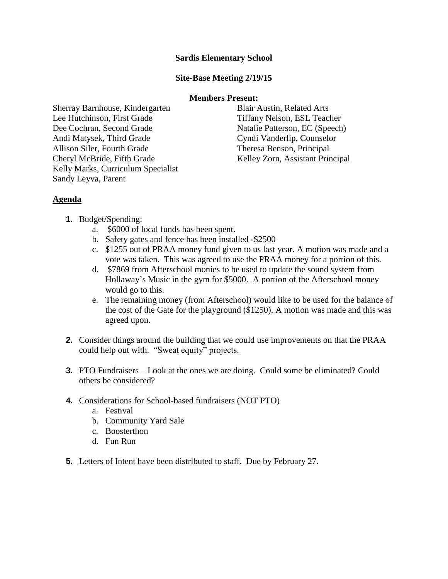## **Sardis Elementary School**

## **Site-Base Meeting 2/19/15**

#### **Members Present:**

Sherray Barnhouse, Kindergarten Blair Austin, Related Arts Lee Hutchinson, First Grade Tiffany Nelson, ESL Teacher Dee Cochran, Second Grade Natalie Patterson, EC (Speech) Andi Matysek, Third Grade Cyndi Vanderlip, Counselor Allison Siler, Fourth Grade Theresa Benson, Principal Cheryl McBride, Fifth Grade Kelley Zorn, Assistant Principal Kelly Marks, Curriculum Specialist Sandy Leyva, Parent

# **Agenda**

- **1.** Budget/Spending:
	- a. \$6000 of local funds has been spent.
	- b. Safety gates and fence has been installed -\$2500
	- c. \$1255 out of PRAA money fund given to us last year. A motion was made and a vote was taken. This was agreed to use the PRAA money for a portion of this.
	- d. \$7869 from Afterschool monies to be used to update the sound system from Hollaway's Music in the gym for \$5000. A portion of the Afterschool money would go to this.
	- e. The remaining money (from Afterschool) would like to be used for the balance of the cost of the Gate for the playground (\$1250). A motion was made and this was agreed upon.
- **2.** Consider things around the building that we could use improvements on that the PRAA could help out with. "Sweat equity" projects.
- **3.** PTO Fundraisers Look at the ones we are doing. Could some be eliminated? Could others be considered?
- **4.** Considerations for School-based fundraisers (NOT PTO)
	- a. Festival
	- b. Community Yard Sale
	- c. Boosterthon
	- d. Fun Run
- **5.** Letters of Intent have been distributed to staff. Due by February 27.